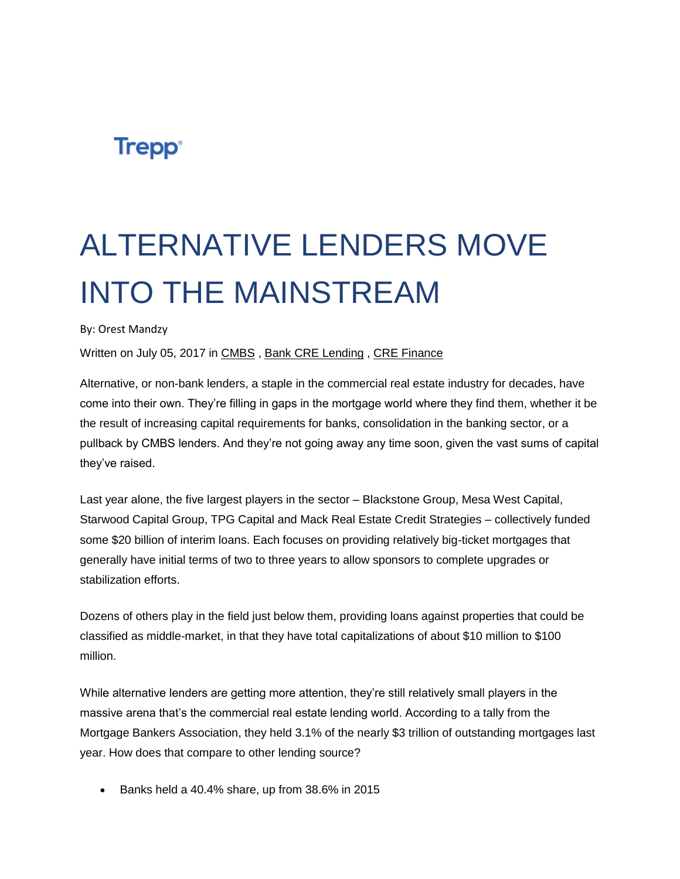## **Trepp**<sup>®</sup>

## ALTERNATIVE LENDERS MOVE INTO THE MAINSTREAM

By: Orest Mandzy

Written on July 05, 2017 in [CMBS](http://info.trepp.com/trepptalk/topic/cmbs) , [Bank CRE Lending](http://info.trepp.com/trepptalk/topic/bank-cre-lending) , [CRE Finance](http://info.trepp.com/trepptalk/topic/cre-finance)

Alternative, or non-bank lenders, a staple in the commercial real estate industry for decades, have come into their own. They're filling in gaps in the mortgage world where they find them, whether it be the result of increasing capital requirements for banks, consolidation in the banking sector, or a pullback by CMBS lenders. And they're not going away any time soon, given the vast sums of capital they've raised.

Last year alone, the five largest players in the sector – Blackstone Group, Mesa West Capital, Starwood Capital Group, TPG Capital and Mack Real Estate Credit Strategies – collectively funded some \$20 billion of interim loans. Each focuses on providing relatively big-ticket mortgages that generally have initial terms of two to three years to allow sponsors to complete upgrades or stabilization efforts.

Dozens of others play in the field just below them, providing loans against properties that could be classified as middle-market, in that they have total capitalizations of about \$10 million to \$100 million.

While alternative lenders are getting more attention, they're still relatively small players in the massive arena that's the commercial real estate lending world. According to a tally from the Mortgage Bankers Association, they held 3.1% of the nearly \$3 trillion of outstanding mortgages last year. How does that compare to other lending source?

• Banks held a 40.4% share, up from 38.6% in 2015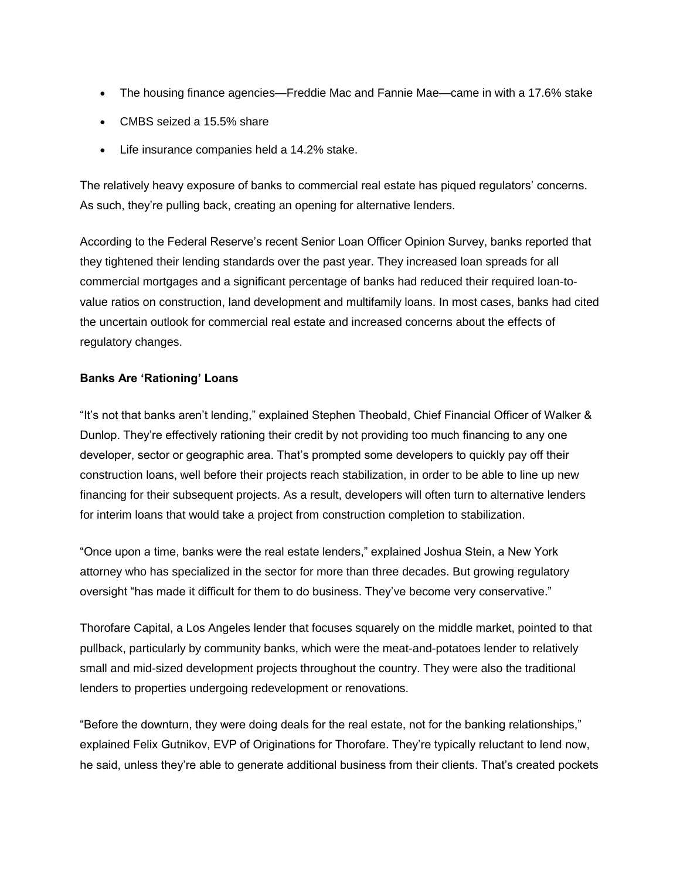- The housing finance agencies—Freddie Mac and Fannie Mae—came in with a 17.6% stake
- CMBS seized a 15.5% share
- Life insurance companies held a 14.2% stake.

The relatively heavy exposure of banks to commercial real estate has piqued regulators' concerns. As such, they're pulling back, creating an opening for alternative lenders.

According to the Federal Reserve's recent Senior Loan Officer Opinion Survey, banks reported that they tightened their lending standards over the past year. They increased loan spreads for all commercial mortgages and a significant percentage of banks had reduced their required loan-tovalue ratios on construction, land development and multifamily loans. In most cases, banks had cited the uncertain outlook for commercial real estate and increased concerns about the effects of regulatory changes.

## **Banks Are 'Rationing' Loans**

"It's not that banks aren't lending," explained Stephen Theobald, Chief Financial Officer of Walker & Dunlop. They're effectively rationing their credit by not providing too much financing to any one developer, sector or geographic area. That's prompted some developers to quickly pay off their construction loans, well before their projects reach stabilization, in order to be able to line up new financing for their subsequent projects. As a result, developers will often turn to alternative lenders for interim loans that would take a project from construction completion to stabilization.

"Once upon a time, banks were the real estate lenders," explained Joshua Stein, a New York attorney who has specialized in the sector for more than three decades. But growing regulatory oversight "has made it difficult for them to do business. They've become very conservative."

Thorofare Capital, a Los Angeles lender that focuses squarely on the middle market, pointed to that pullback, particularly by community banks, which were the meat-and-potatoes lender to relatively small and mid-sized development projects throughout the country. They were also the traditional lenders to properties undergoing redevelopment or renovations.

"Before the downturn, they were doing deals for the real estate, not for the banking relationships," explained Felix Gutnikov, EVP of Originations for Thorofare. They're typically reluctant to lend now, he said, unless they're able to generate additional business from their clients. That's created pockets